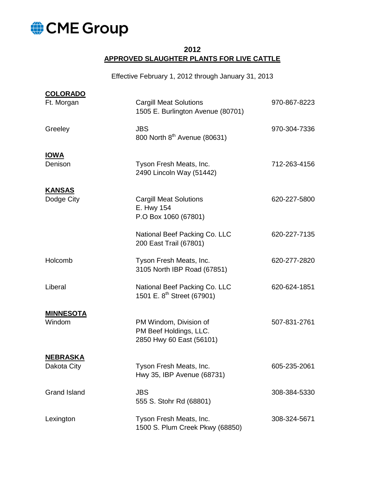

## **2012 APPROVED SLAUGHTER PLANTS FOR LIVE CATTLE**

Effective February 1, 2012 through January 31, 2013

| <b>COLORADO</b><br>Ft. Morgan  | <b>Cargill Meat Solutions</b><br>1505 E. Burlington Avenue (80701)           | 970-867-8223 |
|--------------------------------|------------------------------------------------------------------------------|--------------|
| Greeley                        | <b>JBS</b><br>800 North 8 <sup>th</sup> Avenue (80631)                       | 970-304-7336 |
| <u>IOWA</u><br>Denison         | Tyson Fresh Meats, Inc.<br>2490 Lincoln Way (51442)                          | 712-263-4156 |
| <b>KANSAS</b><br>Dodge City    | <b>Cargill Meat Solutions</b><br>E. Hwy 154<br>P.O Box 1060 (67801)          | 620-227-5800 |
|                                | National Beef Packing Co. LLC<br>200 East Trail (67801)                      | 620-227-7135 |
| Holcomb                        | Tyson Fresh Meats, Inc.<br>3105 North IBP Road (67851)                       | 620-277-2820 |
| Liberal                        | National Beef Packing Co. LLC<br>1501 E. 8 <sup>th</sup> Street (67901)      | 620-624-1851 |
| <b>MINNESOTA</b><br>Windom     | PM Windom, Division of<br>PM Beef Holdings, LLC.<br>2850 Hwy 60 East (56101) | 507-831-2761 |
| <b>NEBRASKA</b><br>Dakota City | Tyson Fresh Meats, Inc.<br>Hwy 35, IBP Avenue (68731)                        | 605-235-2061 |
| <b>Grand Island</b>            | <b>JBS</b><br>555 S. Stohr Rd (68801)                                        | 308-384-5330 |
| Lexington                      | Tyson Fresh Meats, Inc.<br>1500 S. Plum Creek Pkwy (68850)                   | 308-324-5671 |